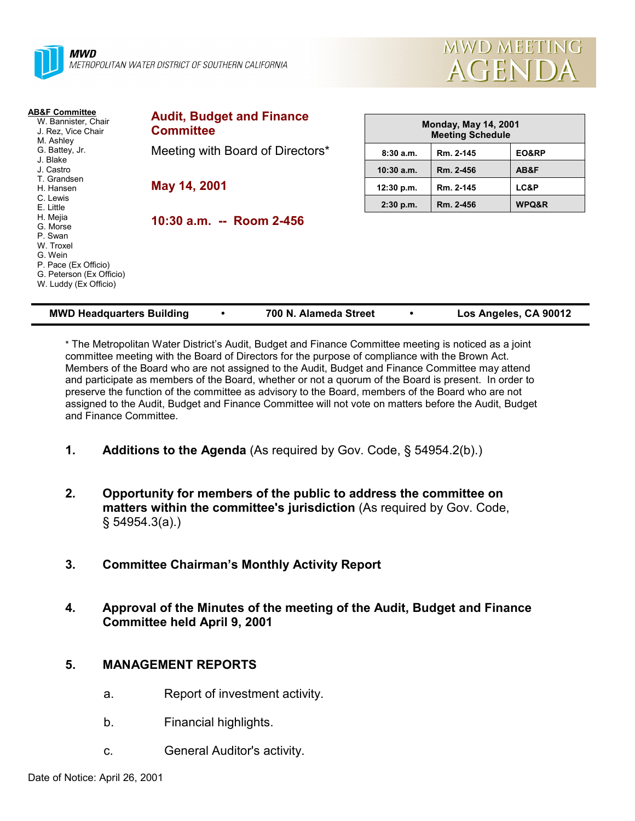



| <b>AB&amp;F Committee</b><br>W. Bannister, Chair<br>J. Rez, Vice Chair<br>M. Ashley                                                  | <b>Audit, Budget and Finance</b><br><b>Committee</b> | <b>Monday, May 14, 2001</b><br><b>Meeting Schedule</b> |           |       |  |
|--------------------------------------------------------------------------------------------------------------------------------------|------------------------------------------------------|--------------------------------------------------------|-----------|-------|--|
| G. Battey, Jr.                                                                                                                       | Meeting with Board of Directors*                     | 8:30a.m.                                               | Rm. 2-145 | EO&RP |  |
| J. Blake<br>J. Castro                                                                                                                |                                                      | $10:30$ a.m.                                           | Rm. 2-456 | AB&F  |  |
| T. Grandsen<br>H. Hansen                                                                                                             | May 14, 2001                                         | 12:30 p.m.                                             | Rm. 2-145 | LC&P  |  |
| C. Lewis<br>E. Little                                                                                                                |                                                      | $2:30$ p.m.                                            | Rm. 2-456 | WPQ&R |  |
| H. Mejia<br>G. Morse<br>P. Swan<br>W. Troxel<br>G. Wein<br>P. Pace (Ex Officio)<br>G. Peterson (Ex Officio)<br>W. Luddy (Ex Officio) | 10:30 a.m. -- Room 2-456                             |                                                        |           |       |  |

| <b>MWD Headquarters Building</b> |  | 700 N. Alameda Street |  | Los Angeles, CA 90012 |
|----------------------------------|--|-----------------------|--|-----------------------|
|----------------------------------|--|-----------------------|--|-----------------------|

\* The Metropolitan Water Districtís Audit, Budget and Finance Committee meeting is noticed as a joint committee meeting with the Board of Directors for the purpose of compliance with the Brown Act. Members of the Board who are not assigned to the Audit, Budget and Finance Committee may attend and participate as members of the Board, whether or not a quorum of the Board is present. In order to preserve the function of the committee as advisory to the Board, members of the Board who are not assigned to the Audit, Budget and Finance Committee will not vote on matters before the Audit, Budget and Finance Committee.

- **1.** Additions to the Agenda (As required by Gov. Code, § 54954.2(b).)
- **2. Opportunity for members of the public to address the committee on matters within the committee's jurisdiction** (As required by Gov. Code, ß 54954.3(a).)
- **3. Committee Chairmanís Monthly Activity Report**
- **4. Approval of the Minutes of the meeting of the Audit, Budget and Finance Committee held April 9, 2001**

# **5. MANAGEMENT REPORTS**

- a. Report of investment activity.
- b. Financial highlights.
- c. General Auditor's activity.